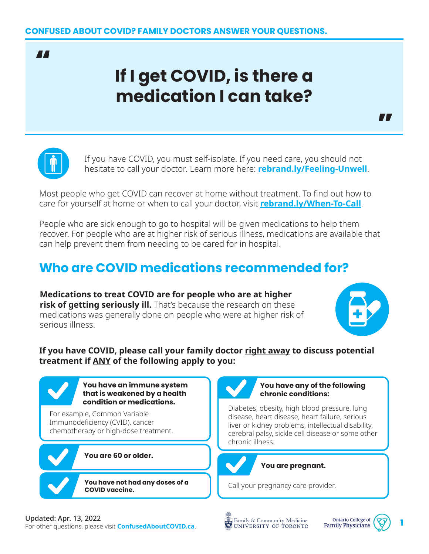"

# **If I get COVID, is there a medication I can take?**

"



If you have COVID, you must self-isolate. If you need care, you should not hesitate to call your doctor. Learn more here: **[rebrand.ly/Feeling-Unwell](http://rebrand.ly/Feeling-Unwell)**.

Most people who get COVID can recover at home without treatment. To find out how to care for yourself at home or when to call your doctor, visit **[rebrand.ly/When-To-Call](http://rebrand.ly/When-To-Call)**.

People who are sick enough to go to hospital will be given medications to help them recover. For people who are at higher risk of serious illness, medications are available that can help prevent them from needing to be cared for in hospital.

# **Who are COVID medications recommended for?**

**Medications to treat COVID are for people who are at higher risk of getting seriously ill.** That's because the research on these medications was generally done on people who were at higher risk of serious illness.



### **If you have COVID, please call your family doctor right away to discuss potential treatment if ANY of the following apply to you:**

**You have an immune system that is weakened by a health condition or medications.** 

For example, Common Variable Immunodeficiency (CVID), cancer chemotherapy or high-dose treatment.



**You are 60 or older.**



**You have not had any doses of a yields** Call your pregnancy care provider. **COVID vaccine.**



#### **You have any of the following chronic conditions:**

Diabetes, obesity, high blood pressure, lung disease, heart disease, heart failure, serious liver or kidney problems, intellectual disability, cerebral palsy, sickle cell disease or some other chronic illness.



#### **You are pregnant.**



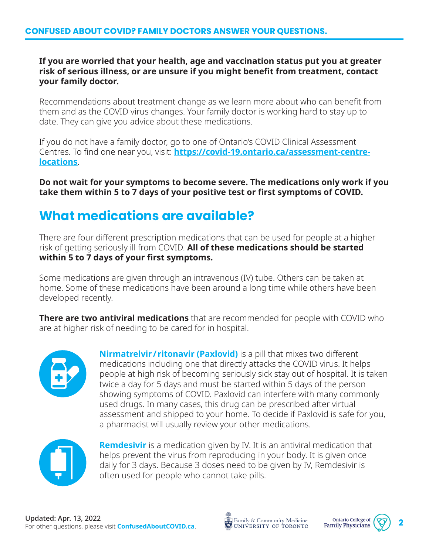### **If you are worried that your health, age and vaccination status put you at greater risk of serious illness, or are unsure if you might benefit from treatment, contact your family doctor.**

Recommendations about treatment change as we learn more about who can benefit from them and as the COVID virus changes. Your family doctor is working hard to stay up to date. They can give you advice about these medications.

If you do not have a family doctor, go to one of Ontario's COVID Clinical Assessment Centres. To find one near you, visit: **[https://covid-19.ontario.ca/assessment-centre](https://covid-19.ontario.ca/assessment-centre-locations)[locations](https://covid-19.ontario.ca/assessment-centre-locations)**.

**Do not wait for your symptoms to become severe. The medications only work if you take them within 5 to 7 days of your positive test or first symptoms of COVID.**

## **What medications are available?**

There are four different prescription medications that can be used for people at a higher risk of getting seriously ill from COVID. **All of these medications should be started within 5 to 7 days of your first symptoms.**

Some medications are given through an intravenous (IV) tube. Others can be taken at home. Some of these medications have been around a long time while others have been developed recently.

**There are two antiviral medications** that are recommended for people with COVID who are at higher risk of needing to be cared for in hospital.



**Nirmatrelvir / ritonavir (Paxlovid)** is a pill that mixes two different medications including one that directly attacks the COVID virus. It helps people at high risk of becoming seriously sick stay out of hospital. It is taken twice a day for 5 days and must be started within 5 days of the person showing symptoms of COVID. Paxlovid can interfere with many commonly used drugs. In many cases, this drug can be prescribed after virtual assessment and shipped to your home. To decide if Paxlovid is safe for you, a pharmacist will usually review your other medications.



**Remdesivir** is a medication given by IV. It is an antiviral medication that helps prevent the virus from reproducing in your body. It is given once daily for 3 days. Because 3 doses need to be given by IV, Remdesivir is often used for people who cannot take pills.